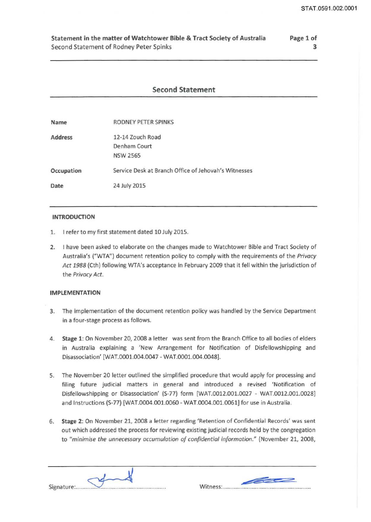### Statement in the matter of Watchtower Bible & Tract Society of Australia Second Statement of Rodney Peter Spinks

## Page 1 of 3

# Second Statement

| Name           | RODNEY PETER SPINKS                                  |
|----------------|------------------------------------------------------|
| <b>Address</b> | 12-14 Zouch Road                                     |
|                | Denham Court                                         |
|                | <b>NSW 2565</b>                                      |
| Occupation     | Service Desk at Branch Office of Jehovah's Witnesses |
| Date           | 24 July 2015                                         |

#### INTRODUCTION

- 1. I refer to my first statement dated 10 July 2015.
- 2. I have been asked to elaborate on the changes made to Watchtower Bible and Tract Society of Australia's ("WTA") document retention policy to comply with the requirements of the *Privacy Act 1988* (Cth) following WTA's acceptance in February 2009 that it fell within the jurisdiction of the *Privacy Act.*

### IMPLEMENTATION

- 3. The implementation of the document retention policy was handled by the Service Department in a four-stage process as follows.
- 4. Stage 1: On November 20, 2008 a letter was sent from the Branch Office to all bodies of elders in Australia explaining a 'New Arrangement for Notification of Disfellowshipping and Disassociation' [WAT.0001.004.0047 - WAT.0001.004.0048].
- 5. The November 20 letter outlined the simplified procedure that would apply for processing and filing future judicial matters in general and introduced a revised 'Notification of Disfellowshipping or Disassociation' (S-77) form [WAT.0012.001.0027 - WAT.0012.001.0028] and Instructions (S-77) [WAT.0004.001.0060 - WAT.0004.001.0061] for use in Australia.
- 6. Stage 2: On November 21, 2008 a letter regarding 'Retention of Confidential Records' was sent out which addressed the process for reviewing existing judicial records held by the congregation to *"minimise the unnecessary accumulation of confidential information."* (November 21, 2008,

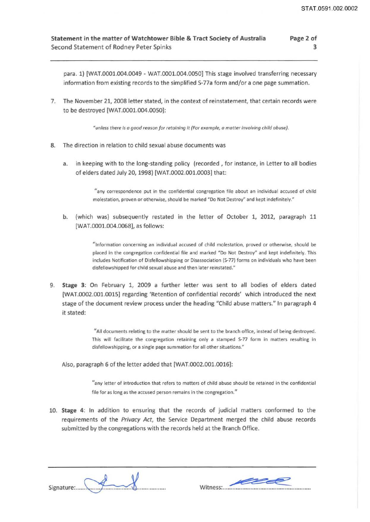3

#### Statement in the matter of Watchtower Bible & Tract Society of Australia Second Statement of Rodney Peter Spinks Page 2 of

para. 1) [WAT.0001.004.0049 - WAT.0001.004.0050] This stage involved transferring necessary information from existing records to the simplified S-77a form and/or a one page summation.

7. The November 21, 2008 letter stated, in the context of reinstatement, that certain records were to be destroyed [WAT.0001.004.0050]:

"unless there is a good reason for retaining it (For example, a matter involving child abuse).

- 8. The direction in relation to child sexual abuse documents was
	- a. in keeping with to the long-standing policy (recorded , for instance, in Letter to all bodies of elders dated July 20, 1998) [WAT.0002.001.0003] that:

"any correspondence put in the confidential congregation file about an individual accused of child molestation, proven or otherwise, should be marked "Do Not Destroy" and kept indefinitely."

b. (which was) subsequently restated in the letter of October 1, 2012, paragraph 11 [WAT.0001.004.0068], as follows:

> "Information concerning an individual accused of child molestation, proved or otherwise, should be placed in the congregation confidential file and marked "Do Not Destroy'' and kept indefinitely. This includes Notification of Disfellowshipping or Disassociation {S-77) forms on individuals who have been disfellowshipped for child sexual abuse and then later reinstated."

9. Stage 3: On February 1, 2009 a further letter was sent to all bodies of elders dated [WAT.0002.001.0015] regarding 'Retention of confidential records' which introduced the next stage of the document review process under the heading "Child abuse matters." In paragraph 4 it stated:

> "All documents relating to the matter should be sent to the branch office, instead of being destroyed. This will facilitate the congregation retaining only a stamped S-77 form in matters resulting in disfellowshipping, or a single page summation for all other situations."

Also, paragraph 6 of the letter added that [WAT.0002.001.0016]:

"any letter of introduction that refers to matters of child abuse should be retained in the confidential file for as long as the accused person remains in the congregation."

10. Stage 4: In addition to ensuring that the records of judicial matters conformed to the requirements of the Privacy Act, the Service Department merged the child abuse records submitted by the congregations with the records held at the Branch Office.